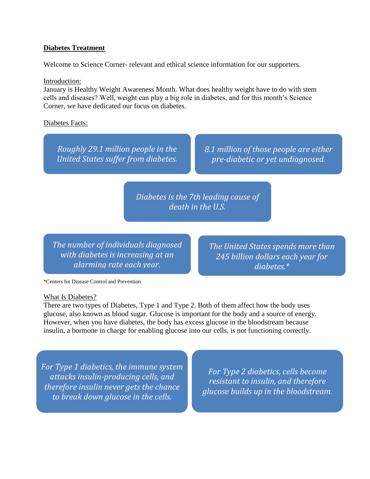#### **Diabetes Treatment**

Welcome to Science Corner- relevant and ethical science information for our supporters.

#### Introduction:

January is Healthy Weight Awareness Month. What does healthy weight have to do with stem cells and diseases? Well, weight can play a big role in diabetes, and for this month's Science Corner, we have dedicated our focus on diabetes.

Diabetes Facts:

*Roughly 29.1 million people in the United States suffer from diabetes.* *8.1 million of those people are either pre-diabetic or yet undiagnosed.*

*Diabetes is the 7th leading cause of death in the U.S.*

*The number of individuals diagnosed with diabetes is increasing at an alarming rate each year.*

*The United States spends more than 245 billion dollars each year for diabetes.\**

\*Centers for Disease Control and Prevention

#### What Is Diabetes?

There are two types of Diabetes, Type 1 and Type 2. Both of them affect how the body uses glucose, also known as blood sugar. Glucose is important for the body and a source of energy. However, when you have diabetes, the body has excess glucose in the bloodstream because insulin, a hormone in charge for enabling glucose into our cells, is not functioning correctly.

*For Type 1 diabetics, the immune system attacks insulin-producing cells, and therefore insulin never gets the chance to break down glucose in the cells.*

*For Type 2 diabetics, cells become resistant to insulin, and therefore glucose builds up in the bloodstream.*